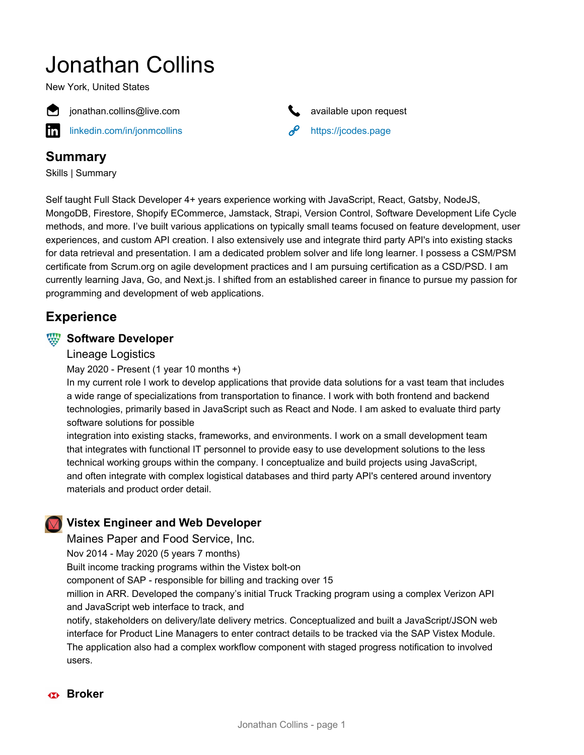# Jonathan Collins

New York, United States



**[linkedin.com/in/jonmcollins](https://www.linkedin.com/in/jonmcollins)**  $\mathscr{P}$  <https://jcodes.page>



# **Summary**

Skills | Summary

Self taught Full Stack Developer 4+ years experience working with JavaScript, React, Gatsby, NodeJS, MongoDB, Firestore, Shopify ECommerce, Jamstack, Strapi, Version Control, Software Development Life Cycle methods, and more. I've built various applications on typically small teams focused on feature development, user experiences, and custom API creation. I also extensively use and integrate third party API's into existing stacks for data retrieval and presentation. I am a dedicated problem solver and life long learner. I possess a CSM/PSM certificate from Scrum.org on agile development practices and I am pursuing certification as a CSD/PSD. I am currently learning Java, Go, and Next.js. I shifted from an established career in finance to pursue my passion for programming and development of web applications.

# **Experience**

## **WE** Software Developer

## Lineage Logistics

May 2020 - Present (1 year 10 months +)

In my current role I work to develop applications that provide data solutions for a vast team that includes a wide range of specializations from transportation to finance. I work with both frontend and backend technologies, primarily based in JavaScript such as React and Node. I am asked to evaluate third party software solutions for possible

integration into existing stacks, frameworks, and environments. I work on a small development team that integrates with functional IT personnel to provide easy to use development solutions to the less technical working groups within the company. I conceptualize and build projects using JavaScript, and often integrate with complex logistical databases and third party API's centered around inventory materials and product order detail.

# **Vistex Engineer and Web Developer**

Maines Paper and Food Service, Inc.

Nov 2014 - May 2020 (5 years 7 months)

Built income tracking programs within the Vistex bolt-on

component of SAP - responsible for billing and tracking over 15

million in ARR. Developed the company's initial Truck Tracking program using a complex Verizon API and JavaScript web interface to track, and

notify, stakeholders on delivery/late delivery metrics. Conceptualized and built a JavaScript/JSON web interface for Product Line Managers to enter contract details to be tracked via the SAP Vistex Module. The application also had a complex workflow component with staged progress notification to involved users.